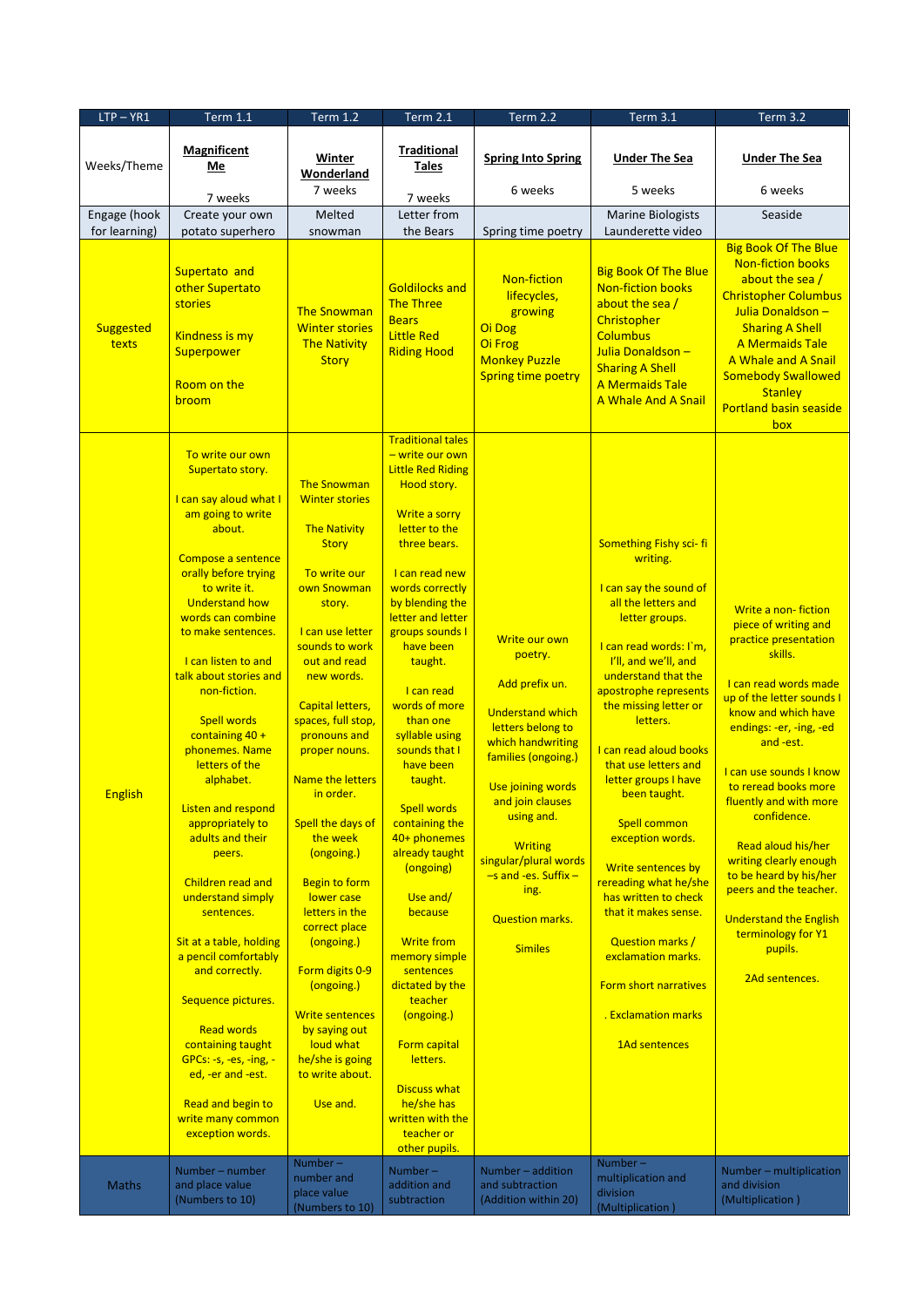| $LTP - YR1$                   | <b>Term 1.1</b>                                                                                                                                                                                                                                                                                                                                                                                                                                                                                                                                                                                                                                                                                                                                                                       | <b>Term 1.2</b>                                                                                                                                                                                                                                                                                                                                                                                                                                                                                                                                                                                            | <b>Term 2.1</b>                                                                                                                                                                                                                                                                                                                                                                                                                                                                                                                                                                                                                                                                                         | <b>Term 2.2</b>                                                                                                                                                                                                                                                                                                         | Term 3.1                                                                                                                                                                                                                                                                                                                                                                                                                                                                                                                                                                                           | <b>Term 3.2</b>                                                                                                                                                                                                                                                                                                                                                                                                                                                                          |
|-------------------------------|---------------------------------------------------------------------------------------------------------------------------------------------------------------------------------------------------------------------------------------------------------------------------------------------------------------------------------------------------------------------------------------------------------------------------------------------------------------------------------------------------------------------------------------------------------------------------------------------------------------------------------------------------------------------------------------------------------------------------------------------------------------------------------------|------------------------------------------------------------------------------------------------------------------------------------------------------------------------------------------------------------------------------------------------------------------------------------------------------------------------------------------------------------------------------------------------------------------------------------------------------------------------------------------------------------------------------------------------------------------------------------------------------------|---------------------------------------------------------------------------------------------------------------------------------------------------------------------------------------------------------------------------------------------------------------------------------------------------------------------------------------------------------------------------------------------------------------------------------------------------------------------------------------------------------------------------------------------------------------------------------------------------------------------------------------------------------------------------------------------------------|-------------------------------------------------------------------------------------------------------------------------------------------------------------------------------------------------------------------------------------------------------------------------------------------------------------------------|----------------------------------------------------------------------------------------------------------------------------------------------------------------------------------------------------------------------------------------------------------------------------------------------------------------------------------------------------------------------------------------------------------------------------------------------------------------------------------------------------------------------------------------------------------------------------------------------------|------------------------------------------------------------------------------------------------------------------------------------------------------------------------------------------------------------------------------------------------------------------------------------------------------------------------------------------------------------------------------------------------------------------------------------------------------------------------------------------|
| Weeks/Theme                   | <b>Magnificent</b><br><b>Me</b>                                                                                                                                                                                                                                                                                                                                                                                                                                                                                                                                                                                                                                                                                                                                                       | Winter<br>Wonderland                                                                                                                                                                                                                                                                                                                                                                                                                                                                                                                                                                                       | <b>Traditional</b><br><b>Tales</b>                                                                                                                                                                                                                                                                                                                                                                                                                                                                                                                                                                                                                                                                      | <b>Spring Into Spring</b>                                                                                                                                                                                                                                                                                               | <b>Under The Sea</b>                                                                                                                                                                                                                                                                                                                                                                                                                                                                                                                                                                               | <b>Under The Sea</b>                                                                                                                                                                                                                                                                                                                                                                                                                                                                     |
|                               | 7 weeks                                                                                                                                                                                                                                                                                                                                                                                                                                                                                                                                                                                                                                                                                                                                                                               | 7 weeks                                                                                                                                                                                                                                                                                                                                                                                                                                                                                                                                                                                                    | 7 weeks                                                                                                                                                                                                                                                                                                                                                                                                                                                                                                                                                                                                                                                                                                 | 6 weeks                                                                                                                                                                                                                                                                                                                 | 5 weeks                                                                                                                                                                                                                                                                                                                                                                                                                                                                                                                                                                                            | 6 weeks                                                                                                                                                                                                                                                                                                                                                                                                                                                                                  |
| Engage (hook<br>for learning) | Create your own<br>potato superhero                                                                                                                                                                                                                                                                                                                                                                                                                                                                                                                                                                                                                                                                                                                                                   | Melted<br>snowman                                                                                                                                                                                                                                                                                                                                                                                                                                                                                                                                                                                          | Letter from<br>the Bears                                                                                                                                                                                                                                                                                                                                                                                                                                                                                                                                                                                                                                                                                | Spring time poetry                                                                                                                                                                                                                                                                                                      | <b>Marine Biologists</b><br>Launderette video                                                                                                                                                                                                                                                                                                                                                                                                                                                                                                                                                      | Seaside                                                                                                                                                                                                                                                                                                                                                                                                                                                                                  |
| Suggested<br>texts            | Supertato and<br>other Supertato<br>stories<br>Kindness is my<br>Superpower<br>Room on the<br>broom                                                                                                                                                                                                                                                                                                                                                                                                                                                                                                                                                                                                                                                                                   | <b>The Snowman</b><br><b>Winter stories</b><br><b>The Nativity</b><br><b>Story</b>                                                                                                                                                                                                                                                                                                                                                                                                                                                                                                                         | <b>Goldilocks and</b><br>The Three<br><b>Bears</b><br><b>Little Red</b><br><b>Riding Hood</b>                                                                                                                                                                                                                                                                                                                                                                                                                                                                                                                                                                                                           | <b>Non-fiction</b><br>lifecycles,<br>growing<br>Oi Dog<br>Oi Frog<br><b>Monkey Puzzle</b><br><b>Spring time poetry</b>                                                                                                                                                                                                  | <b>Big Book Of The Blue</b><br><b>Non-fiction books</b><br>about the sea/<br>Christopher<br><b>Columbus</b><br>Julia Donaldson -<br><b>Sharing A Shell</b><br>A Mermaids Tale<br>A Whale And A Snail                                                                                                                                                                                                                                                                                                                                                                                               | <b>Big Book Of The Blue</b><br><b>Non-fiction books</b><br>about the sea /<br><b>Christopher Columbus</b><br>Julia Donaldson -<br><b>Sharing A Shell</b><br>A Mermaids Tale<br>A Whale and A Snail<br><b>Somebody Swallowed</b><br><b>Stanley</b><br><b>Portland basin seaside</b><br>box                                                                                                                                                                                                |
| <b>English</b>                | To write our own<br>Supertato story.<br>I can say aloud what I<br>am going to write<br>about.<br>Compose a sentence<br>orally before trying<br>to write it.<br><b>Understand how</b><br>words can combine<br>to make sentences.<br>I can listen to and<br>talk about stories and<br>non-fiction.<br><b>Spell words</b><br>containing $40 +$<br>phonemes. Name<br>letters of the<br>alphabet.<br><b>Listen and respond</b><br>appropriately to<br>adults and their<br>peers.<br>Children read and<br>understand simply<br>sentences.<br>Sit at a table, holding<br>a pencil comfortably<br>and correctly.<br>Sequence pictures.<br><b>Read words</b><br>containing taught<br>GPCs: -s, -es, -ing, -<br>ed, -er and -est.<br>Read and begin to<br>write many common<br>exception words. | <b>The Snowman</b><br><b>Winter stories</b><br><b>The Nativity</b><br><b>Story</b><br>To write our<br>own Snowman<br>story.<br>I can use letter<br>sounds to work<br>out and read<br>new words.<br><b>Capital letters,</b><br>spaces, full stop,<br>pronouns and<br>proper nouns.<br><b>Name the letters</b><br>in order.<br>Spell the days of<br>the week<br>(ongoing.)<br><b>Begin to form</b><br>lower case<br>letters in the<br>correct place<br>(ongoing.)<br>Form digits 0-9<br>(ongoing.)<br><b>Write sentences</b><br>by saying out<br>loud what<br>he/she is going<br>to write about.<br>Use and. | <b>Traditional tales</b><br>- write our own<br><b>Little Red Riding</b><br>Hood story.<br>Write a sorry<br>letter to the<br>three bears.<br>I can read new<br>words correctly<br>by blending the<br>letter and letter<br>groups sounds I<br>have been<br>taught.<br>I can read<br>words of more<br>than one<br>syllable using<br>sounds that I<br>have been<br>taught.<br><b>Spell words</b><br>containing the<br>40+ phonemes<br>already taught<br>(ongoing)<br>Use and/<br>because<br><b>Write from</b><br>memory simple<br>sentences<br>dictated by the<br>teacher<br>(ongoing.)<br>Form capital<br>letters.<br><b>Discuss what</b><br>he/she has<br>written with the<br>teacher or<br>other pupils. | Write our own<br>poetry.<br>Add prefix un.<br><b>Understand which</b><br>letters belong to<br>which handwriting<br>families (ongoing.)<br>Use joining words<br>and join clauses<br>using and.<br><b>Writing</b><br>singular/plural words<br>$-$ s and -es. Suffix -<br>ing.<br><b>Question marks.</b><br><b>Similes</b> | Something Fishy sci-fi<br>writing.<br>I can say the sound of<br>all the letters and<br>letter groups.<br>I can read words: I'm,<br>I'll, and we'll, and<br>understand that the<br>apostrophe represents<br>the missing letter or<br>letters.<br>I can read aloud books<br>that use letters and<br>letter groups I have<br>been taught.<br><b>Spell common</b><br>exception words.<br>Write sentences by<br>rereading what he/she<br>has written to check<br>that it makes sense.<br><b>Question marks /</b><br>exclamation marks.<br>Form short narratives<br>. Exclamation marks<br>1Ad sentences | Write a non-fiction<br>piece of writing and<br>practice presentation<br>skills.<br>I can read words made<br>up of the letter sounds I<br>know and which have<br>endings: -er, -ing, -ed<br>and -est.<br>I can use sounds I know<br>to reread books more<br>fluently and with more<br>confidence.<br>Read aloud his/her<br>writing clearly enough<br>to be heard by his/her<br>peers and the teacher.<br><b>Understand the English</b><br>terminology for Y1<br>pupils.<br>2Ad sentences. |
| <b>Maths</b>                  | Number - number<br>and place value<br>(Numbers to 10)                                                                                                                                                                                                                                                                                                                                                                                                                                                                                                                                                                                                                                                                                                                                 | Number $-$<br>number and<br>place value<br>(Numbers to 10)                                                                                                                                                                                                                                                                                                                                                                                                                                                                                                                                                 | Number $-$<br>addition and<br>subtraction                                                                                                                                                                                                                                                                                                                                                                                                                                                                                                                                                                                                                                                               | Number - addition<br>and subtraction<br>(Addition within 20)                                                                                                                                                                                                                                                            | Number-<br>multiplication and<br>division<br>(Multiplication)                                                                                                                                                                                                                                                                                                                                                                                                                                                                                                                                      | Number - multiplication<br>and division<br>(Multiplication)                                                                                                                                                                                                                                                                                                                                                                                                                              |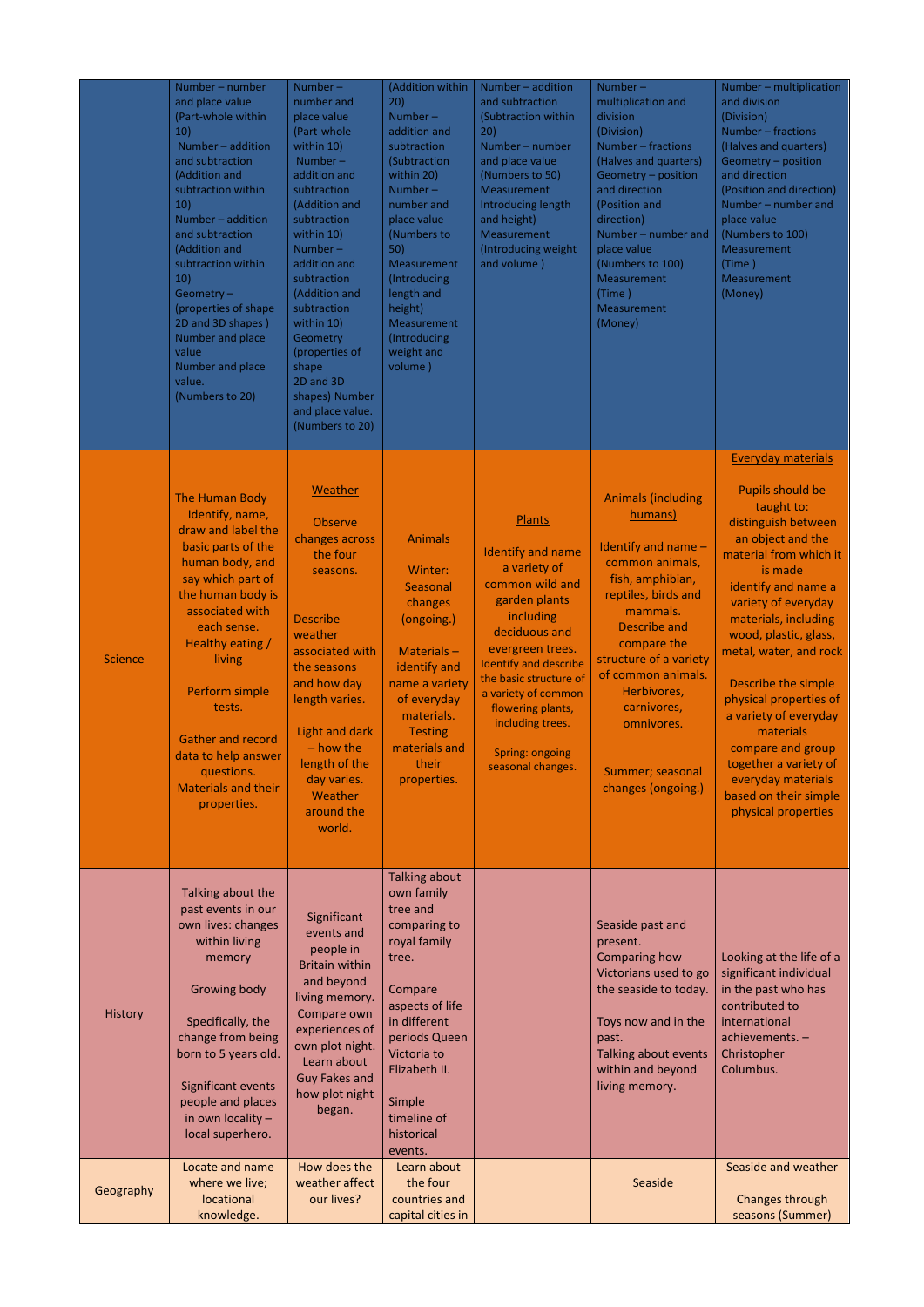|                | Number – number<br>and place value<br>(Part-whole within<br>10)<br>Number - addition<br>and subtraction<br>(Addition and<br>subtraction within<br>10)<br>Number - addition<br>and subtraction<br>(Addition and<br>subtraction within<br>10)<br>Geometry $-$<br>(properties of shape<br>2D and 3D shapes)<br>Number and place<br>value<br>Number and place<br>value.<br>(Numbers to 20) | Number $-$<br>number and<br>place value<br>(Part-whole<br>within 10)<br>Number-<br>addition and<br>subtraction<br>(Addition and<br>subtraction<br>within 10)<br>Number $-$<br>addition and<br>subtraction<br>(Addition and<br>subtraction<br>within 10)<br>Geometry<br>(properties of<br>shape<br>2D and 3D<br>shapes) Number<br>and place value.<br>(Numbers to 20) | (Addition within<br>20)<br>Number $-$<br>addition and<br>subtraction<br>(Subtraction<br>within 20)<br>Number $-$<br>number and<br>place value<br>(Numbers to<br>50)<br>Measurement<br>(Introducing<br>length and<br>height)<br>Measurement<br>(Introducing<br>weight and<br>volume) | Number - addition<br>and subtraction<br>(Subtraction within<br>20)<br>Number - number<br>and place value<br>(Numbers to 50)<br>Measurement<br>Introducing length<br>and height)<br>Measurement<br>(Introducing weight<br>and volume)                                                                              | Number-<br>multiplication and<br>division<br>(Division)<br>Number - fractions<br>(Halves and quarters)<br>Geometry - position<br>and direction<br>(Position and<br>direction)<br>Number - number and<br>place value<br>(Numbers to 100)<br>Measurement<br>(Time)<br>Measurement<br>(Money)                          | Number - multiplication<br>and division<br>(Division)<br>Number - fractions<br>(Halves and quarters)<br>Geometry - position<br>and direction<br>(Position and direction)<br>Number – number and<br>place value<br>(Numbers to 100)<br>Measurement<br>(Time)<br>Measurement<br>(Money)                                                                                                                                                                                                   |
|----------------|----------------------------------------------------------------------------------------------------------------------------------------------------------------------------------------------------------------------------------------------------------------------------------------------------------------------------------------------------------------------------------------|----------------------------------------------------------------------------------------------------------------------------------------------------------------------------------------------------------------------------------------------------------------------------------------------------------------------------------------------------------------------|-------------------------------------------------------------------------------------------------------------------------------------------------------------------------------------------------------------------------------------------------------------------------------------|-------------------------------------------------------------------------------------------------------------------------------------------------------------------------------------------------------------------------------------------------------------------------------------------------------------------|---------------------------------------------------------------------------------------------------------------------------------------------------------------------------------------------------------------------------------------------------------------------------------------------------------------------|-----------------------------------------------------------------------------------------------------------------------------------------------------------------------------------------------------------------------------------------------------------------------------------------------------------------------------------------------------------------------------------------------------------------------------------------------------------------------------------------|
| <b>Science</b> | <b>The Human Body</b><br>Identify, name,<br>draw and label the<br>basic parts of the<br>human body, and<br>say which part of<br>the human body is<br>associated with<br>each sense.<br>Healthy eating /<br>living<br>Perform simple<br>tests.<br><b>Gather and record</b><br>data to help answer<br>questions.<br><b>Materials and their</b><br>properties.                            | Weather<br><b>Observe</b><br>changes across<br>the four<br>seasons.<br><b>Describe</b><br>weather<br>associated with<br>the seasons<br>and how day<br>length varies.<br>Light and dark<br>$-$ how the<br>length of the<br>day varies.<br>Weather<br>around the<br>world.                                                                                             | <b>Animals</b><br>Winter:<br>Seasonal<br>changes<br>(ongoing.)<br>Materials $-$<br>identify and<br>name a variety<br>of everyday<br>materials.<br><b>Testing</b><br>materials and<br>their<br>properties.                                                                           | Plants<br><b>Identify and name</b><br>a variety of<br>common wild and<br>garden plants<br>including<br>deciduous and<br>evergreen trees.<br><b>Identify and describe</b><br>the basic structure of<br>a variety of common<br>flowering plants,<br>including trees.<br><b>Spring: ongoing</b><br>seasonal changes. | <b>Animals (including</b><br>humans)<br>Identify and name $-$<br>common animals,<br>fish, amphibian,<br>reptiles, birds and<br>mammals.<br><b>Describe and</b><br>compare the<br>structure of a variety<br>of common animals.<br>Herbivores,<br>carnivores,<br>omnivores.<br>Summer; seasonal<br>changes (ongoing.) | <b>Everyday materials</b><br><b>Pupils should be</b><br>taught to:<br>distinguish between<br>an object and the<br>material from which it<br>is made<br>identify and name a<br>variety of everyday<br>materials, including<br>wood, plastic, glass,<br>metal, water, and rock<br>Describe the simple<br>physical properties of<br>a variety of everyday<br>materials<br>compare and group<br>together a variety of<br>everyday materials<br>based on their simple<br>physical properties |
| <b>History</b> | Talking about the<br>past events in our<br>own lives: changes<br>within living<br>memory<br><b>Growing body</b><br>Specifically, the<br>change from being<br>born to 5 years old.<br>Significant events<br>people and places<br>in own locality -<br>local superhero.                                                                                                                  | Significant<br>events and<br>people in<br><b>Britain within</b><br>and beyond<br>living memory.<br>Compare own<br>experiences of<br>own plot night.<br>Learn about<br><b>Guy Fakes and</b><br>how plot night<br>began.                                                                                                                                               | <b>Talking about</b><br>own family<br>tree and<br>comparing to<br>royal family<br>tree.<br>Compare<br>aspects of life<br>in different<br>periods Queen<br>Victoria to<br>Elizabeth II.<br>Simple<br>timeline of<br>historical<br>events.                                            |                                                                                                                                                                                                                                                                                                                   | Seaside past and<br>present.<br><b>Comparing how</b><br>Victorians used to go<br>the seaside to today.<br>Toys now and in the<br>past.<br>Talking about events<br>within and beyond<br>living memory.                                                                                                               | Looking at the life of a<br>significant individual<br>in the past who has<br>contributed to<br>international<br>achievements. -<br>Christopher<br>Columbus.                                                                                                                                                                                                                                                                                                                             |
| Geography      | Locate and name<br>where we live;<br>locational<br>knowledge.                                                                                                                                                                                                                                                                                                                          | How does the<br>weather affect<br>our lives?                                                                                                                                                                                                                                                                                                                         | Learn about<br>the four<br>countries and<br>capital cities in                                                                                                                                                                                                                       |                                                                                                                                                                                                                                                                                                                   | Seaside                                                                                                                                                                                                                                                                                                             | Seaside and weather<br>Changes through<br>seasons (Summer)                                                                                                                                                                                                                                                                                                                                                                                                                              |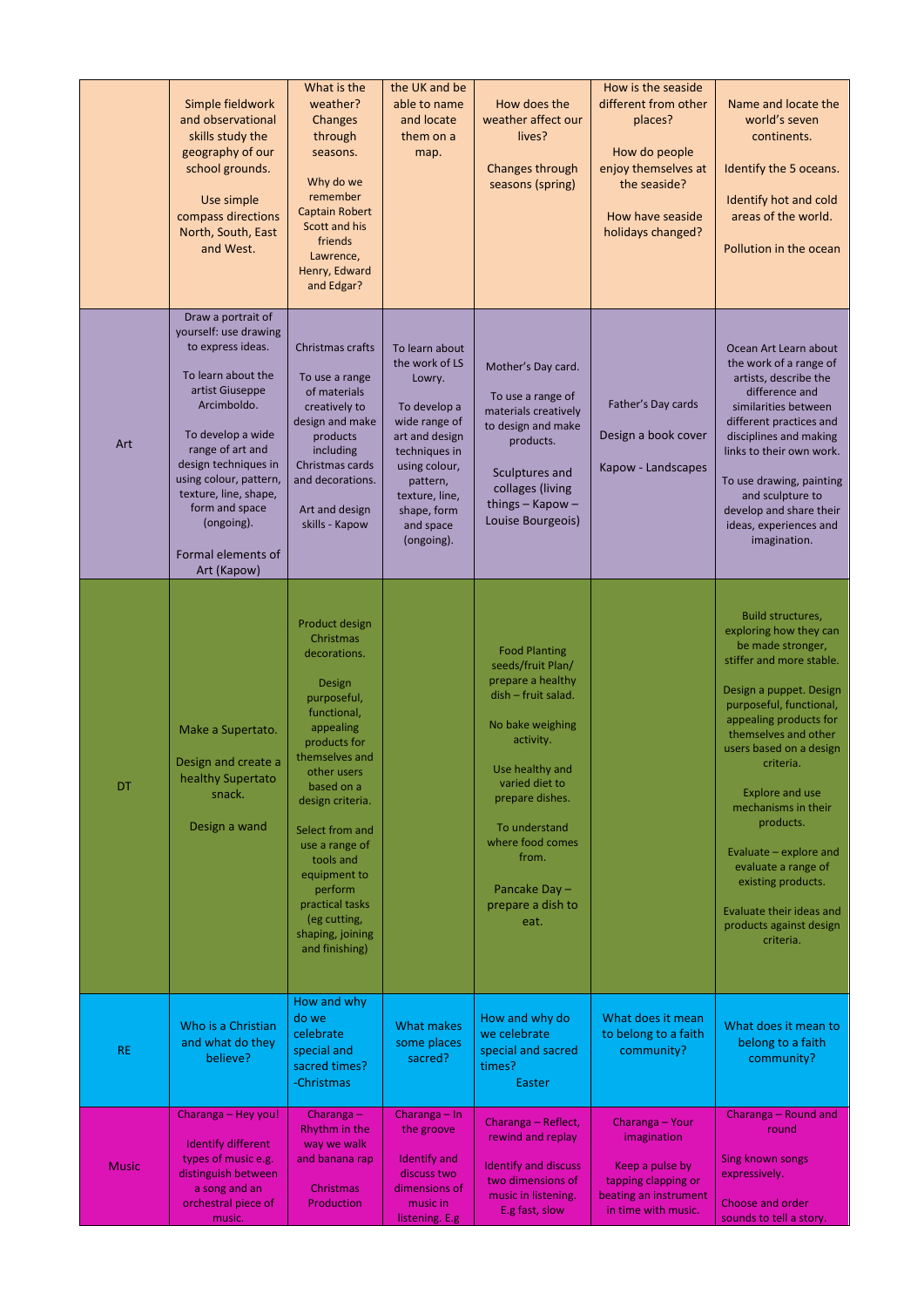|           | Simple fieldwork<br>and observational<br>skills study the<br>geography of our<br>school grounds.<br>Use simple<br>compass directions<br>North, South, East<br>and West.                                                                                                                                           | What is the<br>weather?<br>Changes<br>through<br>seasons.<br>Why do we<br>remember<br><b>Captain Robert</b><br>Scott and his<br>friends<br>Lawrence,<br>Henry, Edward<br>and Edgar?                                                                                                                                                       | the UK and be<br>able to name<br>and locate<br>them on a<br>map.                                                                                                                                        | How does the<br>weather affect our<br>lives?<br>Changes through<br>seasons (spring)                                                                                                                                                                                       | How is the seaside<br>different from other<br>places?<br>How do people<br>enjoy themselves at<br>the seaside?<br>How have seaside<br>holidays changed? | Name and locate the<br>world's seven<br>continents.<br>Identify the 5 oceans.<br>Identify hot and cold<br>areas of the world.<br>Pollution in the ocean                                                                                                                                                                                                                                                                                               |
|-----------|-------------------------------------------------------------------------------------------------------------------------------------------------------------------------------------------------------------------------------------------------------------------------------------------------------------------|-------------------------------------------------------------------------------------------------------------------------------------------------------------------------------------------------------------------------------------------------------------------------------------------------------------------------------------------|---------------------------------------------------------------------------------------------------------------------------------------------------------------------------------------------------------|---------------------------------------------------------------------------------------------------------------------------------------------------------------------------------------------------------------------------------------------------------------------------|--------------------------------------------------------------------------------------------------------------------------------------------------------|-------------------------------------------------------------------------------------------------------------------------------------------------------------------------------------------------------------------------------------------------------------------------------------------------------------------------------------------------------------------------------------------------------------------------------------------------------|
| Art       | Draw a portrait of<br>yourself: use drawing<br>to express ideas.<br>To learn about the<br>artist Giuseppe<br>Arcimboldo.<br>To develop a wide<br>range of art and<br>design techniques in<br>using colour, pattern,<br>texture, line, shape,<br>form and space<br>(ongoing).<br>Formal elements of<br>Art (Kapow) | Christmas crafts<br>To use a range<br>of materials<br>creatively to<br>design and make<br>products<br>including<br>Christmas cards<br>and decorations.<br>Art and design<br>skills - Kapow                                                                                                                                                | To learn about<br>the work of LS<br>Lowry.<br>To develop a<br>wide range of<br>art and design<br>techniques in<br>using colour,<br>pattern,<br>texture, line,<br>shape, form<br>and space<br>(ongoing). | Mother's Day card.<br>To use a range of<br>materials creatively<br>to design and make<br>products.<br>Sculptures and<br>collages (living<br>things $-$ Kapow $-$<br>Louise Bourgeois)                                                                                     | Father's Day cards<br>Design a book cover<br>Kapow - Landscapes                                                                                        | Ocean Art Learn about<br>the work of a range of<br>artists, describe the<br>difference and<br>similarities between<br>different practices and<br>disciplines and making<br>links to their own work.<br>To use drawing, painting<br>and sculpture to<br>develop and share their<br>ideas, experiences and<br>imagination.                                                                                                                              |
| <b>DT</b> | Make a Supertato.<br>Design and create a<br>healthy Supertato<br>snack.<br>Design a wand                                                                                                                                                                                                                          | Product design<br>Christmas<br>decorations.<br>Design<br>purposeful,<br>functional,<br>appealing<br>products for<br>themselves and<br>other users<br>based on a<br>design criteria.<br>Select from and<br>use a range of<br>tools and<br>equipment to<br>perform<br>practical tasks<br>(eg cutting,<br>shaping, joining<br>and finishing) |                                                                                                                                                                                                         | <b>Food Planting</b><br>seeds/fruit Plan/<br>prepare a healthy<br>dish - fruit salad.<br>No bake weighing<br>activity.<br>Use healthy and<br>varied diet to<br>prepare dishes.<br>To understand<br>where food comes<br>from.<br>Pancake Day-<br>prepare a dish to<br>eat. |                                                                                                                                                        | Build structures,<br>exploring how they can<br>be made stronger,<br>stiffer and more stable.<br>Design a puppet. Design<br>purposeful, functional,<br>appealing products for<br>themselves and other<br>users based on a design<br>criteria.<br><b>Explore and use</b><br>mechanisms in their<br>products.<br>Evaluate - explore and<br>evaluate a range of<br>existing products.<br>Evaluate their ideas and<br>products against design<br>criteria. |

| <b>RE</b>    | Who is a Christian<br>and what do they<br>believe?          | How and why<br>do we<br>celebrate<br>special and<br>sacred times?<br>-Christmas | What makes<br>some places<br>sacred?                | How and why do<br>we celebrate<br>special and sacred<br>times?<br>Easter | What does it mean<br>to belong to a faith<br>community? | What does it mean to<br>belong to a faith<br>community? |
|--------------|-------------------------------------------------------------|---------------------------------------------------------------------------------|-----------------------------------------------------|--------------------------------------------------------------------------|---------------------------------------------------------|---------------------------------------------------------|
|              | Charanga - Hey you!<br>Identify different                   | Charanga $-$<br>Rhythm in the<br>way we walk                                    | Charanga $-$ In<br>the groove                       | Charanga - Reflect,<br>rewind and replay                                 | Charanga - Your<br>imagination                          | Charanga – Round and<br>round                           |
| <b>Music</b> | types of music e.g.<br>distinguish between<br>a song and an | and banana rap<br>Christmas                                                     | <b>Identify and</b><br>discuss two<br>dimensions of | <b>Identify and discuss</b><br>two dimensions of                         | Keep a pulse by<br>tapping clapping or                  | <b>Sing known songs</b><br>expressively.                |
|              | orchestral piece of<br>music.                               | <b>Production</b>                                                               | music in<br>listening. E.g                          | music in listening.<br>E.g fast, slow                                    | beating an instrument<br>in time with music.            | Choose and order<br>sounds to tell a story.             |